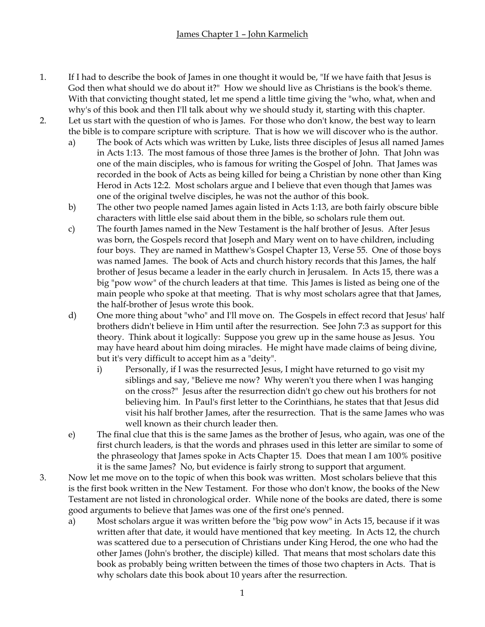- 1. If I had to describe the book of James in one thought it would be, "If we have faith that Jesus is God then what should we do about it?" How we should live as Christians is the book's theme. With that convicting thought stated, let me spend a little time giving the "who, what, when and why's of this book and then I'll talk about why we should study it, starting with this chapter.
- 2. Let us start with the question of who is James. For those who don't know, the best way to learn the bible is to compare scripture with scripture. That is how we will discover who is the author.
	- a) The book of Acts which was written by Luke, lists three disciples of Jesus all named James in Acts 1:13. The most famous of those three James is the brother of John. That John was one of the main disciples, who is famous for writing the Gospel of John. That James was recorded in the book of Acts as being killed for being a Christian by none other than King Herod in Acts 12:2. Most scholars argue and I believe that even though that James was one of the original twelve disciples, he was not the author of this book.
	- b) The other two people named James again listed in Acts 1:13, are both fairly obscure bible characters with little else said about them in the bible, so scholars rule them out.
	- c) The fourth James named in the New Testament is the half brother of Jesus. After Jesus was born, the Gospels record that Joseph and Mary went on to have children, including four boys. They are named in Matthew's Gospel Chapter 13, Verse 55. One of those boys was named James. The book of Acts and church history records that this James, the half brother of Jesus became a leader in the early church in Jerusalem. In Acts 15, there was a big "pow wow" of the church leaders at that time. This James is listed as being one of the main people who spoke at that meeting. That is why most scholars agree that that James, the half-brother of Jesus wrote this book.
	- d) One more thing about "who" and I'll move on. The Gospels in effect record that Jesus' half brothers didn't believe in Him until after the resurrection. See John 7:3 as support for this theory. Think about it logically: Suppose you grew up in the same house as Jesus. You may have heard about him doing miracles. He might have made claims of being divine, but it's very difficult to accept him as a "deity".
		- i) Personally, if I was the resurrected Jesus, I might have returned to go visit my siblings and say, "Believe me now? Why weren't you there when I was hanging on the cross?" Jesus after the resurrection didn't go chew out his brothers for not believing him. In Paul's first letter to the Corinthians, he states that that Jesus did visit his half brother James, after the resurrection. That is the same James who was well known as their church leader then.
	- e) The final clue that this is the same James as the brother of Jesus, who again, was one of the first church leaders, is that the words and phrases used in this letter are similar to some of the phraseology that James spoke in Acts Chapter 15. Does that mean I am 100% positive it is the same James? No, but evidence is fairly strong to support that argument.
- 3. Now let me move on to the topic of when this book was written. Most scholars believe that this is the first book written in the New Testament. For those who don't know, the books of the New Testament are not listed in chronological order. While none of the books are dated, there is some good arguments to believe that James was one of the first one's penned.
	- a) Most scholars argue it was written before the "big pow wow" in Acts 15, because if it was written after that date, it would have mentioned that key meeting. In Acts 12, the church was scattered due to a persecution of Christians under King Herod, the one who had the other James (John's brother, the disciple) killed. That means that most scholars date this book as probably being written between the times of those two chapters in Acts. That is why scholars date this book about 10 years after the resurrection.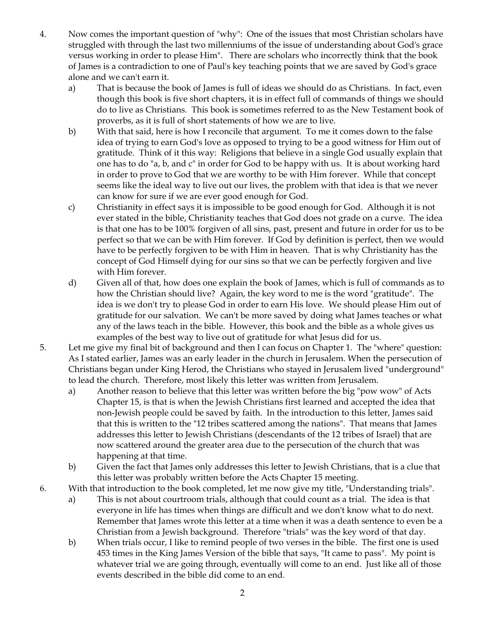- 4. Now comes the important question of "why": One of the issues that most Christian scholars have struggled with through the last two millenniums of the issue of understanding about God's grace versus working in order to please Him". There are scholars who incorrectly think that the book of James is a contradiction to one of Paul's key teaching points that we are saved by God's grace alone and we can't earn it.
	- a) That is because the book of James is full of ideas we should do as Christians. In fact, even though this book is five short chapters, it is in effect full of commands of things we should do to live as Christians. This book is sometimes referred to as the New Testament book of proverbs, as it is full of short statements of how we are to live.
	- b) With that said, here is how I reconcile that argument. To me it comes down to the false idea of trying to earn God's love as opposed to trying to be a good witness for Him out of gratitude. Think of it this way: Religions that believe in a single God usually explain that one has to do "a, b, and c" in order for God to be happy with us. It is about working hard in order to prove to God that we are worthy to be with Him forever. While that concept seems like the ideal way to live out our lives, the problem with that idea is that we never can know for sure if we are ever good enough for God.
	- c) Christianity in effect says it is impossible to be good enough for God. Although it is not ever stated in the bible, Christianity teaches that God does not grade on a curve. The idea is that one has to be 100% forgiven of all sins, past, present and future in order for us to be perfect so that we can be with Him forever. If God by definition is perfect, then we would have to be perfectly forgiven to be with Him in heaven. That is why Christianity has the concept of God Himself dying for our sins so that we can be perfectly forgiven and live with Him forever.
	- d) Given all of that, how does one explain the book of James, which is full of commands as to how the Christian should live? Again, the key word to me is the word "gratitude". The idea is we don't try to please God in order to earn His love. We should please Him out of gratitude for our salvation. We can't be more saved by doing what James teaches or what any of the laws teach in the bible. However, this book and the bible as a whole gives us examples of the best way to live out of gratitude for what Jesus did for us.
- 5. Let me give my final bit of background and then I can focus on Chapter 1. The "where" question: As I stated earlier, James was an early leader in the church in Jerusalem. When the persecution of Christians began under King Herod, the Christians who stayed in Jerusalem lived "underground" to lead the church. Therefore, most likely this letter was written from Jerusalem.
	- a) Another reason to believe that this letter was written before the big "pow wow" of Acts Chapter 15, is that is when the Jewish Christians first learned and accepted the idea that non-Jewish people could be saved by faith. In the introduction to this letter, James said that this is written to the "12 tribes scattered among the nations". That means that James addresses this letter to Jewish Christians (descendants of the 12 tribes of Israel) that are now scattered around the greater area due to the persecution of the church that was happening at that time.
	- b) Given the fact that James only addresses this letter to Jewish Christians, that is a clue that this letter was probably written before the Acts Chapter 15 meeting.
- 6. With that introduction to the book completed, let me now give my title, "Understanding trials".
	- a) This is not about courtroom trials, although that could count as a trial. The idea is that everyone in life has times when things are difficult and we don't know what to do next. Remember that James wrote this letter at a time when it was a death sentence to even be a Christian from a Jewish background. Therefore "trials" was the key word of that day.
	- b) When trials occur, I like to remind people of two verses in the bible. The first one is used 453 times in the King James Version of the bible that says, "It came to pass". My point is whatever trial we are going through, eventually will come to an end. Just like all of those events described in the bible did come to an end.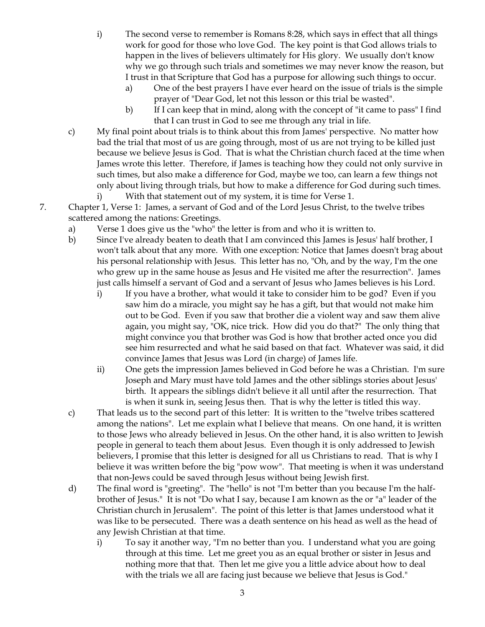- i) The second verse to remember is Romans 8:28, which says in effect that all things work for good for those who love God. The key point is that God allows trials to happen in the lives of believers ultimately for His glory. We usually don't know why we go through such trials and sometimes we may never know the reason, but I trust in that Scripture that God has a purpose for allowing such things to occur.
	- a) One of the best prayers I have ever heard on the issue of trials is the simple prayer of "Dear God, let not this lesson or this trial be wasted".
	- b) If I can keep that in mind, along with the concept of "it came to pass" I find that I can trust in God to see me through any trial in life.
- c) My final point about trials is to think about this from James' perspective. No matter how bad the trial that most of us are going through, most of us are not trying to be killed just because we believe Jesus is God. That is what the Christian church faced at the time when James wrote this letter. Therefore, if James is teaching how they could not only survive in such times, but also make a difference for God, maybe we too, can learn a few things not only about living through trials, but how to make a difference for God during such times.
	- i) With that statement out of my system, it is time for Verse 1.
- 7. Chapter 1, Verse 1: James, a servant of God and of the Lord Jesus Christ, to the twelve tribes scattered among the nations: Greetings.
	- a) Verse 1 does give us the "who" the letter is from and who it is written to.
	- b) Since I've already beaten to death that I am convinced this James is Jesus' half brother, I won't talk about that any more. With one exception: Notice that James doesn't brag about his personal relationship with Jesus. This letter has no, "Oh, and by the way, I'm the one who grew up in the same house as Jesus and He visited me after the resurrection". James just calls himself a servant of God and a servant of Jesus who James believes is his Lord.
		- i) If you have a brother, what would it take to consider him to be god? Even if you saw him do a miracle, you might say he has a gift, but that would not make him out to be God. Even if you saw that brother die a violent way and saw them alive again, you might say, "OK, nice trick. How did you do that?" The only thing that might convince you that brother was God is how that brother acted once you did see him resurrected and what he said based on that fact. Whatever was said, it did convince James that Jesus was Lord (in charge) of James life.
		- ii) One gets the impression James believed in God before he was a Christian. I'm sure Joseph and Mary must have told James and the other siblings stories about Jesus' birth. It appears the siblings didn't believe it all until after the resurrection. That is when it sunk in, seeing Jesus then. That is why the letter is titled this way.
	- c) That leads us to the second part of this letter: It is written to the "twelve tribes scattered among the nations". Let me explain what I believe that means. On one hand, it is written to those Jews who already believed in Jesus. On the other hand, it is also written to Jewish people in general to teach them about Jesus. Even though it is only addressed to Jewish believers, I promise that this letter is designed for all us Christians to read. That is why I believe it was written before the big "pow wow". That meeting is when it was understand that non-Jews could be saved through Jesus without being Jewish first.
	- d) The final word is "greeting". The "hello" is not "I'm better than you because I'm the halfbrother of Jesus." It is not "Do what I say, because I am known as the or "a" leader of the Christian church in Jerusalem". The point of this letter is that James understood what it was like to be persecuted. There was a death sentence on his head as well as the head of any Jewish Christian at that time.
		- i) To say it another way, "I'm no better than you. I understand what you are going through at this time. Let me greet you as an equal brother or sister in Jesus and nothing more that that. Then let me give you a little advice about how to deal with the trials we all are facing just because we believe that Jesus is God."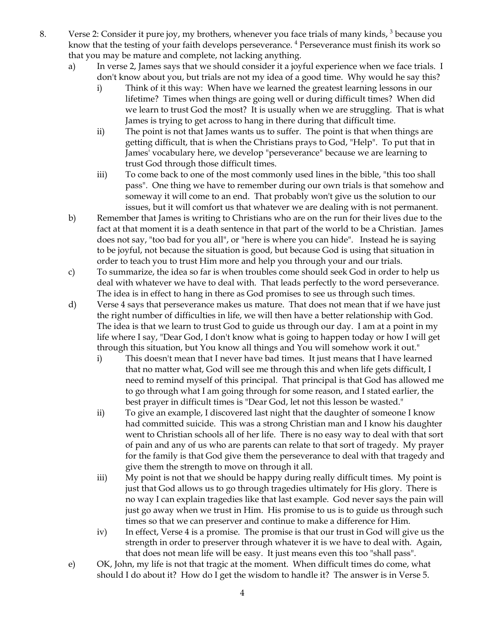- 8. Verse 2: Consider it pure joy, my brothers, whenever you face trials of many kinds, <sup>3</sup> because you know that the testing of your faith develops perseverance. <sup>4</sup> Perseverance must finish its work so that you may be mature and complete, not lacking anything.
	- a) In verse 2, James says that we should consider it a joyful experience when we face trials. I don't know about you, but trials are not my idea of a good time. Why would he say this?
		- i) Think of it this way: When have we learned the greatest learning lessons in our lifetime? Times when things are going well or during difficult times? When did we learn to trust God the most? It is usually when we are struggling. That is what James is trying to get across to hang in there during that difficult time.
		- ii) The point is not that James wants us to suffer. The point is that when things are getting difficult, that is when the Christians prays to God, "Help". To put that in James' vocabulary here, we develop "perseverance" because we are learning to trust God through those difficult times.
		- iii) To come back to one of the most commonly used lines in the bible, "this too shall pass". One thing we have to remember during our own trials is that somehow and someway it will come to an end. That probably won't give us the solution to our issues, but it will comfort us that whatever we are dealing with is not permanent.
	- b) Remember that James is writing to Christians who are on the run for their lives due to the fact at that moment it is a death sentence in that part of the world to be a Christian. James does not say, "too bad for you all", or "here is where you can hide". Instead he is saying to be joyful, not because the situation is good, but because God is using that situation in order to teach you to trust Him more and help you through your and our trials.
	- c) To summarize, the idea so far is when troubles come should seek God in order to help us deal with whatever we have to deal with. That leads perfectly to the word perseverance. The idea is in effect to hang in there as God promises to see us through such times.
	- d) Verse 4 says that perseverance makes us mature. That does not mean that if we have just the right number of difficulties in life, we will then have a better relationship with God. The idea is that we learn to trust God to guide us through our day. I am at a point in my life where I say, "Dear God, I don't know what is going to happen today or how I will get through this situation, but You know all things and You will somehow work it out."
		- i) This doesn't mean that I never have bad times. It just means that I have learned that no matter what, God will see me through this and when life gets difficult, I need to remind myself of this principal. That principal is that God has allowed me to go through what I am going through for some reason, and I stated earlier, the best prayer in difficult times is "Dear God, let not this lesson be wasted."
		- ii) To give an example, I discovered last night that the daughter of someone I know had committed suicide. This was a strong Christian man and I know his daughter went to Christian schools all of her life. There is no easy way to deal with that sort of pain and any of us who are parents can relate to that sort of tragedy. My prayer for the family is that God give them the perseverance to deal with that tragedy and give them the strength to move on through it all.
		- iii) My point is not that we should be happy during really difficult times. My point is just that God allows us to go through tragedies ultimately for His glory. There is no way I can explain tragedies like that last example. God never says the pain will just go away when we trust in Him. His promise to us is to guide us through such times so that we can preserver and continue to make a difference for Him.
		- iv) In effect, Verse 4 is a promise. The promise is that our trust in God will give us the strength in order to preserver through whatever it is we have to deal with. Again, that does not mean life will be easy. It just means even this too "shall pass".
	- e) OK, John, my life is not that tragic at the moment. When difficult times do come, what should I do about it? How do I get the wisdom to handle it? The answer is in Verse 5.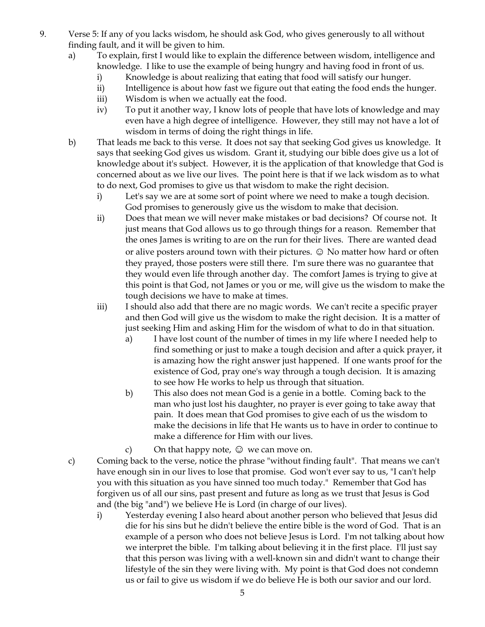- 9. Verse 5: If any of you lacks wisdom, he should ask God, who gives generously to all without finding fault, and it will be given to him.
	- a) To explain, first I would like to explain the difference between wisdom, intelligence and knowledge. I like to use the example of being hungry and having food in front of us.
		- i) Knowledge is about realizing that eating that food will satisfy our hunger.
		- ii) Intelligence is about how fast we figure out that eating the food ends the hunger.
		- iii) Wisdom is when we actually eat the food.
		- iv) To put it another way, I know lots of people that have lots of knowledge and may even have a high degree of intelligence. However, they still may not have a lot of wisdom in terms of doing the right things in life.
	- b) That leads me back to this verse. It does not say that seeking God gives us knowledge. It says that seeking God gives us wisdom. Grant it, studying our bible does give us a lot of knowledge about it's subject. However, it is the application of that knowledge that God is concerned about as we live our lives. The point here is that if we lack wisdom as to what to do next, God promises to give us that wisdom to make the right decision.
		- i) Let's say we are at some sort of point where we need to make a tough decision. God promises to generously give us the wisdom to make that decision.
		- ii) Does that mean we will never make mistakes or bad decisions? Of course not. It just means that God allows us to go through things for a reason. Remember that the ones James is writing to are on the run for their lives. There are wanted dead or alive posters around town with their pictures.  $\odot$  No matter how hard or often they prayed, those posters were still there. I'm sure there was no guarantee that they would even life through another day. The comfort James is trying to give at this point is that God, not James or you or me, will give us the wisdom to make the tough decisions we have to make at times.
		- iii) I should also add that there are no magic words. We can't recite a specific prayer and then God will give us the wisdom to make the right decision. It is a matter of just seeking Him and asking Him for the wisdom of what to do in that situation.
			- a) I have lost count of the number of times in my life where I needed help to find something or just to make a tough decision and after a quick prayer, it is amazing how the right answer just happened. If one wants proof for the existence of God, pray one's way through a tough decision. It is amazing to see how He works to help us through that situation.
			- b) This also does not mean God is a genie in a bottle. Coming back to the man who just lost his daughter, no prayer is ever going to take away that pain. It does mean that God promises to give each of us the wisdom to make the decisions in life that He wants us to have in order to continue to make a difference for Him with our lives.
			- c) On that happy note,  $\odot$  we can move on.
	- c) Coming back to the verse, notice the phrase "without finding fault". That means we can't have enough sin in our lives to lose that promise. God won't ever say to us, "I can't help you with this situation as you have sinned too much today." Remember that God has forgiven us of all our sins, past present and future as long as we trust that Jesus is God and (the big "and") we believe He is Lord (in charge of our lives).
		- i) Yesterday evening I also heard about another person who believed that Jesus did die for his sins but he didn't believe the entire bible is the word of God. That is an example of a person who does not believe Jesus is Lord. I'm not talking about how we interpret the bible. I'm talking about believing it in the first place. I'll just say that this person was living with a well-known sin and didn't want to change their lifestyle of the sin they were living with. My point is that God does not condemn us or fail to give us wisdom if we do believe He is both our savior and our lord.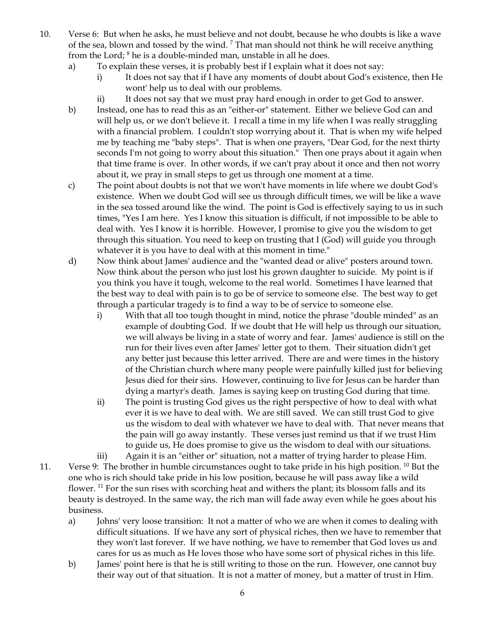- 10. Verse 6: But when he asks, he must believe and not doubt, because he who doubts is like a wave of the sea, blown and tossed by the wind.<sup>7</sup> That man should not think he will receive anything from the Lord; <sup>8</sup> he is a double-minded man, unstable in all he does.
	- a) To explain these verses, it is probably best if I explain what it does not say:
		- i) It does not say that if I have any moments of doubt about God's existence, then He wont' help us to deal with our problems.
		- ii) It does not say that we must pray hard enough in order to get God to answer.
	- b) Instead, one has to read this as an "either-or" statement. Either we believe God can and will help us, or we don't believe it. I recall a time in my life when I was really struggling with a financial problem. I couldn't stop worrying about it. That is when my wife helped me by teaching me "baby steps". That is when one prayers, "Dear God, for the next thirty seconds I'm not going to worry about this situation." Then one prays about it again when that time frame is over. In other words, if we can't pray about it once and then not worry about it, we pray in small steps to get us through one moment at a time.
	- c) The point about doubts is not that we won't have moments in life where we doubt God's existence. When we doubt God will see us through difficult times, we will be like a wave in the sea tossed around like the wind. The point is God is effectively saying to us in such times, "Yes I am here. Yes I know this situation is difficult, if not impossible to be able to deal with. Yes I know it is horrible. However, I promise to give you the wisdom to get through this situation. You need to keep on trusting that I (God) will guide you through whatever it is you have to deal with at this moment in time."
	- d) Now think about James' audience and the "wanted dead or alive" posters around town. Now think about the person who just lost his grown daughter to suicide. My point is if you think you have it tough, welcome to the real world. Sometimes I have learned that the best way to deal with pain is to go be of service to someone else. The best way to get through a particular tragedy is to find a way to be of service to someone else.
		- i) With that all too tough thought in mind, notice the phrase "double minded" as an example of doubting God. If we doubt that He will help us through our situation, we will always be living in a state of worry and fear. James' audience is still on the run for their lives even after James' letter got to them. Their situation didn't get any better just because this letter arrived. There are and were times in the history of the Christian church where many people were painfully killed just for believing Jesus died for their sins. However, continuing to live for Jesus can be harder than dying a martyr's death. James is saying keep on trusting God during that time.
		- ii) The point is trusting God gives us the right perspective of how to deal with what ever it is we have to deal with. We are still saved. We can still trust God to give us the wisdom to deal with whatever we have to deal with. That never means that the pain will go away instantly. These verses just remind us that if we trust Him to guide us, He does promise to give us the wisdom to deal with our situations.
- iii) Again it is an "either or" situation, not a matter of trying harder to please Him. 11. Verse 9: The brother in humble circumstances ought to take pride in his high position. <sup>10</sup> But the one who is rich should take pride in his low position, because he will pass away like a wild flower. <sup>11</sup> For the sun rises with scorching heat and withers the plant; its blossom falls and its beauty is destroyed. In the same way, the rich man will fade away even while he goes about his business.
	- a) Johns' very loose transition: It not a matter of who we are when it comes to dealing with difficult situations. If we have any sort of physical riches, then we have to remember that they won't last forever. If we have nothing, we have to remember that God loves us and cares for us as much as He loves those who have some sort of physical riches in this life.
	- b) James' point here is that he is still writing to those on the run. However, one cannot buy their way out of that situation. It is not a matter of money, but a matter of trust in Him.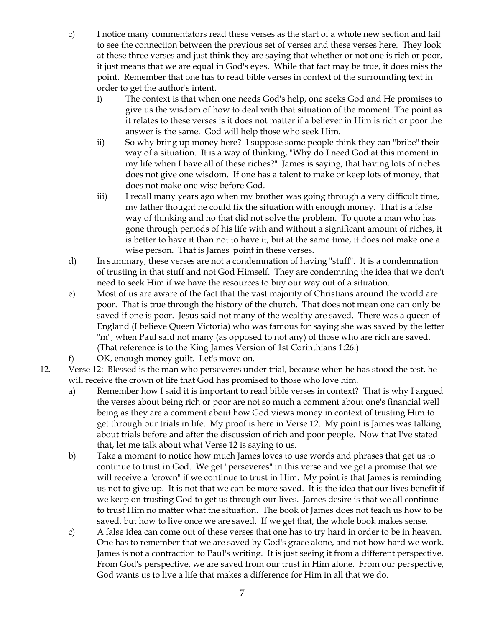- c) I notice many commentators read these verses as the start of a whole new section and fail to see the connection between the previous set of verses and these verses here. They look at these three verses and just think they are saying that whether or not one is rich or poor, it just means that we are equal in God's eyes. While that fact may be true, it does miss the point. Remember that one has to read bible verses in context of the surrounding text in order to get the author's intent.
	- i) The context is that when one needs God's help, one seeks God and He promises to give us the wisdom of how to deal with that situation of the moment. The point as it relates to these verses is it does not matter if a believer in Him is rich or poor the answer is the same. God will help those who seek Him.
	- ii) So why bring up money here? I suppose some people think they can "bribe" their way of a situation. It is a way of thinking, "Why do I need God at this moment in my life when I have all of these riches?" James is saying, that having lots of riches does not give one wisdom. If one has a talent to make or keep lots of money, that does not make one wise before God.
	- iii) I recall many years ago when my brother was going through a very difficult time, my father thought he could fix the situation with enough money. That is a false way of thinking and no that did not solve the problem. To quote a man who has gone through periods of his life with and without a significant amount of riches, it is better to have it than not to have it, but at the same time, it does not make one a wise person. That is James' point in these verses.
- d) In summary, these verses are not a condemnation of having "stuff". It is a condemnation of trusting in that stuff and not God Himself. They are condemning the idea that we don't need to seek Him if we have the resources to buy our way out of a situation.
- e) Most of us are aware of the fact that the vast majority of Christians around the world are poor. That is true through the history of the church. That does not mean one can only be saved if one is poor. Jesus said not many of the wealthy are saved. There was a queen of England (I believe Queen Victoria) who was famous for saying she was saved by the letter "m", when Paul said not many (as opposed to not any) of those who are rich are saved. (That reference is to the King James Version of 1st Corinthians 1:26.)
- f) OK, enough money guilt. Let's move on.
- 12. Verse 12: Blessed is the man who perseveres under trial, because when he has stood the test, he will receive the crown of life that God has promised to those who love him.
	- a) Remember how I said it is important to read bible verses in context? That is why I argued the verses about being rich or poor are not so much a comment about one's financial well being as they are a comment about how God views money in context of trusting Him to get through our trials in life. My proof is here in Verse 12. My point is James was talking about trials before and after the discussion of rich and poor people. Now that I've stated that, let me talk about what Verse 12 is saying to us.
	- b) Take a moment to notice how much James loves to use words and phrases that get us to continue to trust in God. We get "perseveres" in this verse and we get a promise that we will receive a "crown" if we continue to trust in Him. My point is that James is reminding us not to give up. It is not that we can be more saved. It is the idea that our lives benefit if we keep on trusting God to get us through our lives. James desire is that we all continue to trust Him no matter what the situation. The book of James does not teach us how to be saved, but how to live once we are saved. If we get that, the whole book makes sense.
	- c) A false idea can come out of these verses that one has to try hard in order to be in heaven. One has to remember that we are saved by God's grace alone, and not how hard we work. James is not a contraction to Paul's writing. It is just seeing it from a different perspective. From God's perspective, we are saved from our trust in Him alone. From our perspective, God wants us to live a life that makes a difference for Him in all that we do.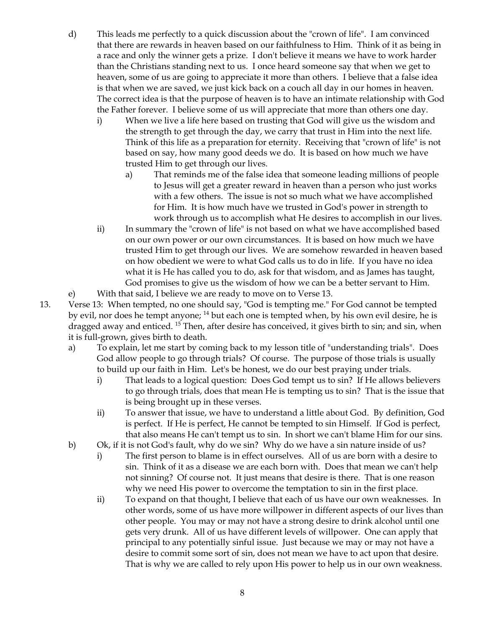- d) This leads me perfectly to a quick discussion about the "crown of life". I am convinced that there are rewards in heaven based on our faithfulness to Him. Think of it as being in a race and only the winner gets a prize. I don't believe it means we have to work harder than the Christians standing next to us. I once heard someone say that when we get to heaven, some of us are going to appreciate it more than others. I believe that a false idea is that when we are saved, we just kick back on a couch all day in our homes in heaven. The correct idea is that the purpose of heaven is to have an intimate relationship with God the Father forever. I believe some of us will appreciate that more than others one day.
	- i) When we live a life here based on trusting that God will give us the wisdom and the strength to get through the day, we carry that trust in Him into the next life. Think of this life as a preparation for eternity. Receiving that "crown of life" is not based on say, how many good deeds we do. It is based on how much we have trusted Him to get through our lives.
		- a) That reminds me of the false idea that someone leading millions of people to Jesus will get a greater reward in heaven than a person who just works with a few others. The issue is not so much what we have accomplished for Him. It is how much have we trusted in God's power in strength to work through us to accomplish what He desires to accomplish in our lives.
	- ii) In summary the "crown of life" is not based on what we have accomplished based on our own power or our own circumstances. It is based on how much we have trusted Him to get through our lives. We are somehow rewarded in heaven based on how obedient we were to what God calls us to do in life. If you have no idea what it is He has called you to do, ask for that wisdom, and as James has taught, God promises to give us the wisdom of how we can be a better servant to Him.

e) With that said, I believe we are ready to move on to Verse 13.

13. Verse 13: When tempted, no one should say, "God is tempting me." For God cannot be tempted by evil, nor does he tempt anyone; <sup>14</sup> but each one is tempted when, by his own evil desire, he is dragged away and enticed. <sup>15</sup> Then, after desire has conceived, it gives birth to sin; and sin, when it is full-grown, gives birth to death.

- a) To explain, let me start by coming back to my lesson title of "understanding trials". Does God allow people to go through trials? Of course. The purpose of those trials is usually to build up our faith in Him. Let's be honest, we do our best praying under trials.
	- i) That leads to a logical question: Does God tempt us to sin? If He allows believers to go through trials, does that mean He is tempting us to sin? That is the issue that is being brought up in these verses.
	- ii) To answer that issue, we have to understand a little about God. By definition, God is perfect. If He is perfect, He cannot be tempted to sin Himself. If God is perfect, that also means He can't tempt us to sin. In short we can't blame Him for our sins.
- b) Ok, if it is not God's fault, why do we sin? Why do we have a sin nature inside of us?
	- i) The first person to blame is in effect ourselves. All of us are born with a desire to sin. Think of it as a disease we are each born with. Does that mean we can't help not sinning? Of course not. It just means that desire is there. That is one reason why we need His power to overcome the temptation to sin in the first place.
	- ii) To expand on that thought, I believe that each of us have our own weaknesses. In other words, some of us have more willpower in different aspects of our lives than other people. You may or may not have a strong desire to drink alcohol until one gets very drunk. All of us have different levels of willpower. One can apply that principal to any potentially sinful issue. Just because we may or may not have a desire to commit some sort of sin, does not mean we have to act upon that desire. That is why we are called to rely upon His power to help us in our own weakness.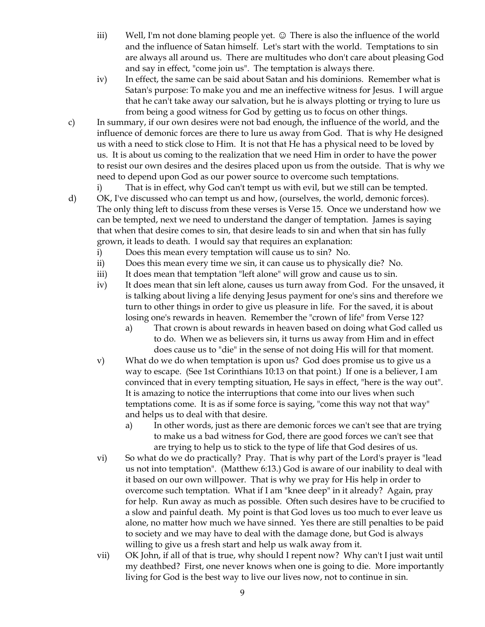- iii) Well, I'm not done blaming people yet.  $\odot$  There is also the influence of the world and the influence of Satan himself. Let's start with the world. Temptations to sin are always all around us. There are multitudes who don't care about pleasing God and say in effect, "come join us". The temptation is always there.
- iv) In effect, the same can be said about Satan and his dominions. Remember what is Satan's purpose: To make you and me an ineffective witness for Jesus. I will argue that he can't take away our salvation, but he is always plotting or trying to lure us from being a good witness for God by getting us to focus on other things.
- c) In summary, if our own desires were not bad enough, the influence of the world, and the influence of demonic forces are there to lure us away from God. That is why He designed us with a need to stick close to Him. It is not that He has a physical need to be loved by us. It is about us coming to the realization that we need Him in order to have the power to resist our own desires and the desires placed upon us from the outside. That is why we need to depend upon God as our power source to overcome such temptations.

i) That is in effect, why God can't tempt us with evil, but we still can be tempted. d) OK, I've discussed who can tempt us and how, (ourselves, the world, demonic forces). The only thing left to discuss from these verses is Verse 15. Once we understand how we can be tempted, next we need to understand the danger of temptation. James is saying that when that desire comes to sin, that desire leads to sin and when that sin has fully grown, it leads to death. I would say that requires an explanation:

- i) Does this mean every temptation will cause us to sin? No.
- ii) Does this mean every time we sin, it can cause us to physically die? No.
- iii) It does mean that temptation "left alone" will grow and cause us to sin.
- iv) It does mean that sin left alone, causes us turn away from God. For the unsaved, it is talking about living a life denying Jesus payment for one's sins and therefore we turn to other things in order to give us pleasure in life. For the saved, it is about losing one's rewards in heaven. Remember the "crown of life" from Verse 12?
	- a) That crown is about rewards in heaven based on doing what God called us to do. When we as believers sin, it turns us away from Him and in effect does cause us to "die" in the sense of not doing His will for that moment.
- v) What do we do when temptation is upon us? God does promise us to give us a way to escape. (See 1st Corinthians 10:13 on that point.) If one is a believer, I am convinced that in every tempting situation, He says in effect, "here is the way out". It is amazing to notice the interruptions that come into our lives when such temptations come. It is as if some force is saying, "come this way not that way" and helps us to deal with that desire.
	- a) In other words, just as there are demonic forces we can't see that are trying to make us a bad witness for God, there are good forces we can't see that are trying to help us to stick to the type of life that God desires of us.
- vi) So what do we do practically? Pray. That is why part of the Lord's prayer is "lead us not into temptation". (Matthew 6:13.) God is aware of our inability to deal with it based on our own willpower. That is why we pray for His help in order to overcome such temptation. What if I am "knee deep" in it already? Again, pray for help. Run away as much as possible. Often such desires have to be crucified to a slow and painful death. My point is that God loves us too much to ever leave us alone, no matter how much we have sinned. Yes there are still penalties to be paid to society and we may have to deal with the damage done, but God is always willing to give us a fresh start and help us walk away from it.
- vii) OK John, if all of that is true, why should I repent now? Why can't I just wait until my deathbed? First, one never knows when one is going to die. More importantly living for God is the best way to live our lives now, not to continue in sin.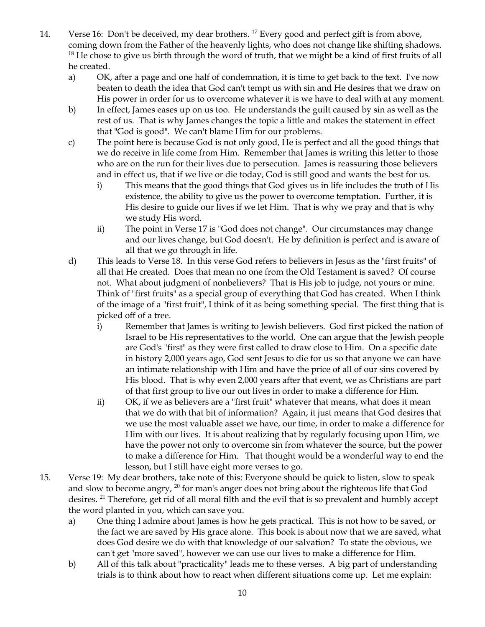- 14. Verse 16: Don't be deceived, my dear brothers. <sup>17</sup> Every good and perfect gift is from above, coming down from the Father of the heavenly lights, who does not change like shifting shadows.  $18$  He chose to give us birth through the word of truth, that we might be a kind of first fruits of all he created.
	- a) OK, after a page and one half of condemnation, it is time to get back to the text. I've now beaten to death the idea that God can't tempt us with sin and He desires that we draw on His power in order for us to overcome whatever it is we have to deal with at any moment.
	- b) In effect, James eases up on us too. He understands the guilt caused by sin as well as the rest of us. That is why James changes the topic a little and makes the statement in effect that "God is good". We can't blame Him for our problems.
	- c) The point here is because God is not only good, He is perfect and all the good things that we do receive in life come from Him. Remember that James is writing this letter to those who are on the run for their lives due to persecution. James is reassuring those believers and in effect us, that if we live or die today, God is still good and wants the best for us.
		- i) This means that the good things that God gives us in life includes the truth of His existence, the ability to give us the power to overcome temptation. Further, it is His desire to guide our lives if we let Him. That is why we pray and that is why we study His word.
		- ii) The point in Verse 17 is "God does not change". Our circumstances may change and our lives change, but God doesn't. He by definition is perfect and is aware of all that we go through in life.
	- d) This leads to Verse 18. In this verse God refers to believers in Jesus as the "first fruits" of all that He created. Does that mean no one from the Old Testament is saved? Of course not. What about judgment of nonbelievers? That is His job to judge, not yours or mine. Think of "first fruits" as a special group of everything that God has created. When I think of the image of a "first fruit", I think of it as being something special. The first thing that is picked off of a tree.
		- i) Remember that James is writing to Jewish believers. God first picked the nation of Israel to be His representatives to the world. One can argue that the Jewish people are God's "first" as they were first called to draw close to Him. On a specific date in history 2,000 years ago, God sent Jesus to die for us so that anyone we can have an intimate relationship with Him and have the price of all of our sins covered by His blood. That is why even 2,000 years after that event, we as Christians are part of that first group to live our out lives in order to make a difference for Him.
		- ii) OK, if we as believers are a "first fruit" whatever that means, what does it mean that we do with that bit of information? Again, it just means that God desires that we use the most valuable asset we have, our time, in order to make a difference for Him with our lives. It is about realizing that by regularly focusing upon Him, we have the power not only to overcome sin from whatever the source, but the power to make a difference for Him. That thought would be a wonderful way to end the lesson, but I still have eight more verses to go.
- 15. Verse 19: My dear brothers, take note of this: Everyone should be quick to listen, slow to speak and slow to become angry, <sup>20</sup> for man's anger does not bring about the righteous life that God desires. <sup>21</sup> Therefore, get rid of all moral filth and the evil that is so prevalent and humbly accept the word planted in you, which can save you.
	- a) One thing I admire about James is how he gets practical. This is not how to be saved, or the fact we are saved by His grace alone. This book is about now that we are saved, what does God desire we do with that knowledge of our salvation? To state the obvious, we can't get "more saved", however we can use our lives to make a difference for Him.
	- b) All of this talk about "practicality" leads me to these verses. A big part of understanding trials is to think about how to react when different situations come up. Let me explain: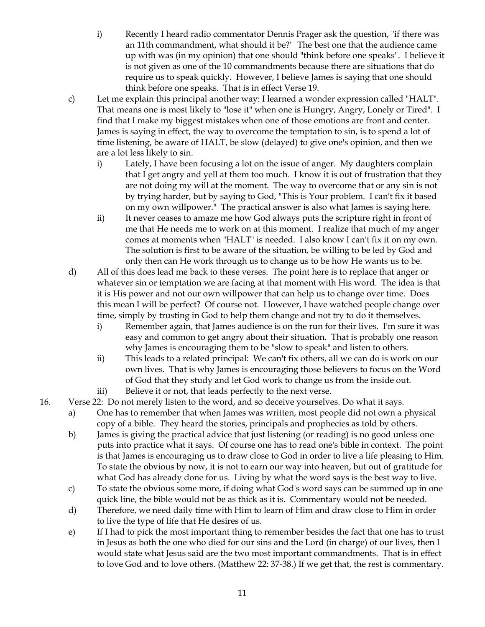- i) Recently I heard radio commentator Dennis Prager ask the question, "if there was an 11th commandment, what should it be?" The best one that the audience came up with was (in my opinion) that one should "think before one speaks". I believe it is not given as one of the 10 commandments because there are situations that do require us to speak quickly. However, I believe James is saying that one should think before one speaks. That is in effect Verse 19.
- c) Let me explain this principal another way: I learned a wonder expression called "HALT". That means one is most likely to "lose it" when one is Hungry, Angry, Lonely or Tired". I find that I make my biggest mistakes when one of those emotions are front and center. James is saying in effect, the way to overcome the temptation to sin, is to spend a lot of time listening, be aware of HALT, be slow (delayed) to give one's opinion, and then we are a lot less likely to sin.
	- i) Lately, I have been focusing a lot on the issue of anger. My daughters complain that I get angry and yell at them too much. I know it is out of frustration that they are not doing my will at the moment. The way to overcome that or any sin is not by trying harder, but by saying to God, "This is Your problem. I can't fix it based on my own willpower." The practical answer is also what James is saying here.
	- ii) It never ceases to amaze me how God always puts the scripture right in front of me that He needs me to work on at this moment. I realize that much of my anger comes at moments when "HALT" is needed. I also know I can't fix it on my own. The solution is first to be aware of the situation, be willing to be led by God and only then can He work through us to change us to be how He wants us to be.
- d) All of this does lead me back to these verses. The point here is to replace that anger or whatever sin or temptation we are facing at that moment with His word. The idea is that it is His power and not our own willpower that can help us to change over time. Does this mean I will be perfect? Of course not. However, I have watched people change over time, simply by trusting in God to help them change and not try to do it themselves.
	- i) Remember again, that James audience is on the run for their lives. I'm sure it was easy and common to get angry about their situation. That is probably one reason why James is encouraging them to be "slow to speak" and listen to others.
	- ii) This leads to a related principal: We can't fix others, all we can do is work on our own lives. That is why James is encouraging those believers to focus on the Word of God that they study and let God work to change us from the inside out.
	- iii) Believe it or not, that leads perfectly to the next verse.
- 16. Verse 22: Do not merely listen to the word, and so deceive yourselves. Do what it says.
	- a) One has to remember that when James was written, most people did not own a physical copy of a bible. They heard the stories, principals and prophecies as told by others.
	- b) James is giving the practical advice that just listening (or reading) is no good unless one puts into practice what it says. Of course one has to read one's bible in context. The point is that James is encouraging us to draw close to God in order to live a life pleasing to Him. To state the obvious by now, it is not to earn our way into heaven, but out of gratitude for what God has already done for us. Living by what the word says is the best way to live.
	- c) To state the obvious some more, if doing what God's word says can be summed up in one quick line, the bible would not be as thick as it is. Commentary would not be needed.
	- d) Therefore, we need daily time with Him to learn of Him and draw close to Him in order to live the type of life that He desires of us.
	- e) If I had to pick the most important thing to remember besides the fact that one has to trust in Jesus as both the one who died for our sins and the Lord (in charge) of our lives, then I would state what Jesus said are the two most important commandments. That is in effect to love God and to love others. (Matthew 22: 37-38.) If we get that, the rest is commentary.